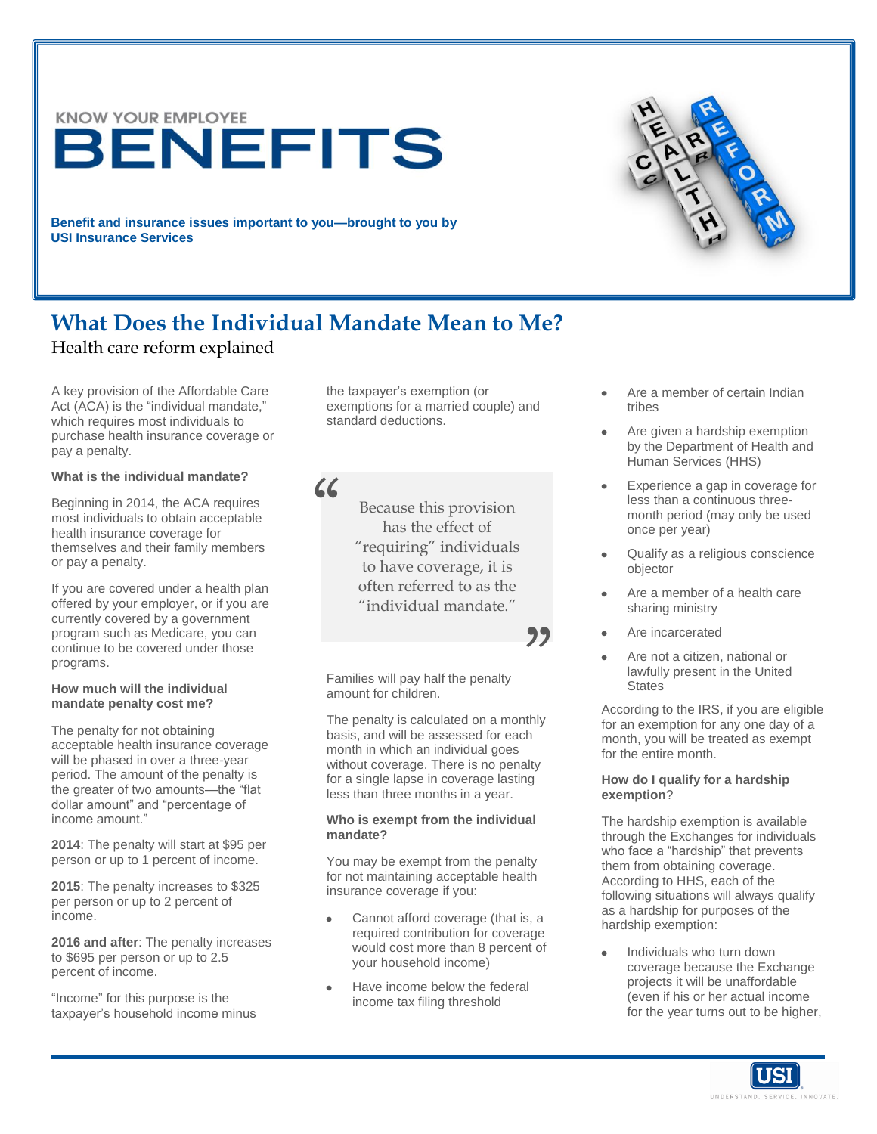**KNOW YOUR EMPLOYEE** BENEFITS

**Benefit and insurance issues important to you—brought to you by USI Insurance Services**

# **What Does the Individual Mandate Mean to Me?**

"

# Health care reform explained

A key provision of the Affordable Care Act (ACA) is the "individual mandate," which requires most individuals to purchase health insurance coverage or pay a penalty.

### **What is the individual mandate?**

Beginning in 2014, the ACA requires most individuals to obtain acceptable health insurance coverage for themselves and their family members or pay a penalty.

If you are covered under a health plan offered by your employer, or if you are currently covered by a government program such as Medicare, you can continue to be covered under those programs.

#### **How much will the individual mandate penalty cost me?**

The penalty for not obtaining acceptable health insurance coverage will be phased in over a three-year period. The amount of the penalty is the greater of two amounts—the "flat dollar amount" and "percentage of income amount."

**2014**: The penalty will start at \$95 per person or up to 1 percent of income.

**2015**: The penalty increases to \$325 per person or up to 2 percent of income.

**2016 and after**: The penalty increases to \$695 per person or up to 2.5 percent of income.

"Income" for this purpose is the taxpayer's household income minus the taxpayer's exemption (or exemptions for a married couple) and standard deductions.

> Because this provision has the effect of "requiring" individuals to have coverage, it is often referred to as the "individual mandate."

> > 22

Families will pay half the penalty amount for children.

The penalty is calculated on a monthly basis, and will be assessed for each month in which an individual goes without coverage. There is no penalty for a single lapse in coverage lasting less than three months in a year.

#### **Who is exempt from the individual mandate?**

You may be exempt from the penalty for not maintaining acceptable health insurance coverage if you:

- Cannot afford coverage (that is, a required contribution for coverage would cost more than 8 percent of your household income)
- Have income below the federal income tax filing threshold
- Are a member of certain Indian tribes
- Are given a hardship exemption  $\bullet$ by the Department of Health and Human Services (HHS)
- Experience a gap in coverage for less than a continuous threemonth period (may only be used once per year)
- Qualify as a religious conscience objector
- Are a member of a health care sharing ministry
- Are incarcerated
- Are not a citizen, national or lawfully present in the United **States**

According to the IRS, if you are eligible for an exemption for any one day of a month, you will be treated as exempt for the entire month.

#### **How do I qualify for a hardship exemption**?

The hardship exemption is available through the Exchanges for individuals who face a "hardship" that prevents them from obtaining coverage. According to HHS, each of the following situations will always qualify as a hardship for purposes of the hardship exemption:

Individuals who turn down coverage because the Exchange projects it will be unaffordable (even if his or her actual income for the year turns out to be higher,